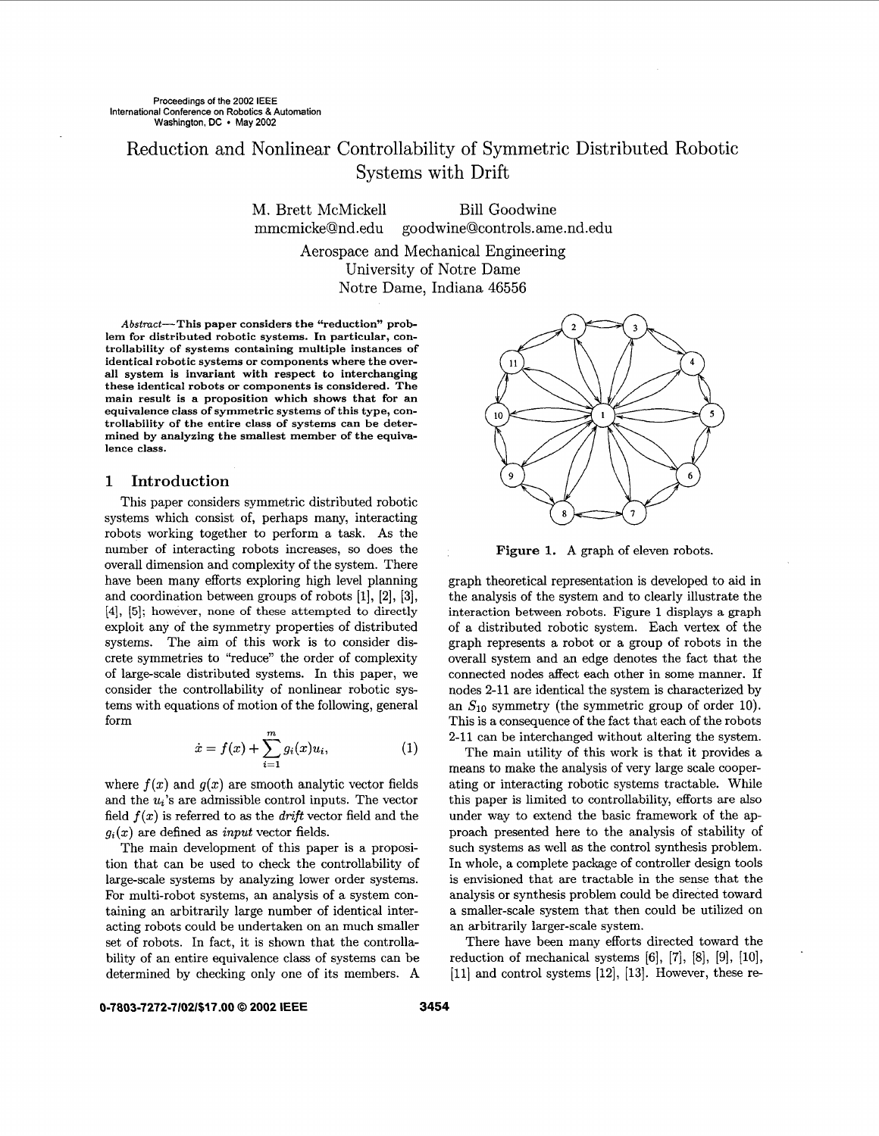# Reduction and Nonlinear Controllability of Symmetric Distributed Robotic Systems with Drift

M. Brett McMickell Bill Goodwine mmcmickeQnd. edu goodwineQcontrols. ame .nd. edu Aerospace and Mechanical Engineering University of Notre Dame

Notre Dame, Indiana 46556

**Abstmct-This paper considers the "reduction" problem for distributed robotic systems. In particular, controllability of systems containing multiple instances of identical robotic systems or components where the overall system is invariant with respect to interchanging these identical robots or components is considered. The main result is a proposition which shows that for an equivalence class of symmetric systems of this type, controllability of the entire class of systems can be determined by analyzing the smallest member of the equivalence class.** 

# **1** Introduction

This paper considers symmetric distributed robotic systems which consist of, perhaps many, interacting robots working together to perform a task. **As** the number of interacting robots increases, so does the overall dimension and complexity of the system. There have been many efforts exploring high level planning and coordination between groups of robots [l], **[2], [3], [4], [5];** however, none of these attempted to directly exploit any of the symmetry properties of distributed systems. The aim of this work is to consider discrete symmetries to "reduce" the order of complexity of large-scale distributed systems. In this paper, we consider the controllability of nonlinear robotic systems with equations of motion of the following, general form *<sup>m</sup>*

$$
\dot{x} = f(x) + \sum_{i=1}^{m} g_i(x) u_i,
$$
 (1)

where  $f(x)$  and  $g(x)$  are smooth analytic vector fields and the *ui's* are admissible control inputs. The vector field  $f(x)$  is referred to as the *drift* vector field and the  $g_i(x)$  are defined as *input* vector fields.

The main development of this paper is a proposition that can be used to check the controllability of large-scale systems by analyzing lower order systems. For multi-robot systems, an analysis of a system containing an arbitrarily large number of identical interacting robots could be undertaken on an much smaller set of robots. In fact, it is shown that the controllability of an entire equivalence class of systems can be determined by checking only one of its members. **A** 



**Figure 1. A** graph of eleven robots.

graph theoretical representation is developed to aid in the analysis of the system and to clearly illustrate the interaction between robots. Figure 1 displays a graph of a distributed robotic system. Each vertex of the graph represents a robot or a group of robots in the overall system and an edge denotes the fact that the connected nodes affect each other in some manner. If nodes 2-11 are identical the system is characterized by an  $S_{10}$  symmetry (the symmetric group of order 10). This is a consequence of the fact that each of the robots 2-11 can be interchanged without altering the system.

The main utility of this work is that it provides a means to make the analysis of very large scale cooperating or interacting robotic systems tractable. While this paper is limited to controllability, efforts are also under way to extend the basic framework of the approach presented here to the analysis of stability of such systems as well **as** the control synthesis problem. In whole, a complete package of controller design tools is envisioned that are tractable in the sense that the analysis or synthesis problem could be directed toward a smaller-scale system that then could be utilized on an arbitrarily larger-scale system.

There have been many efforts directed toward the reduction of mechanical systems  $[6]$ ,  $[7]$ ,  $[8]$ ,  $[9]$ ,  $[10]$ , **[ll]** and control systems **[12], [13].** However, these **re-**

#### *0-7803-7272-71021\$17.00 0 2002* **IEEE 3454**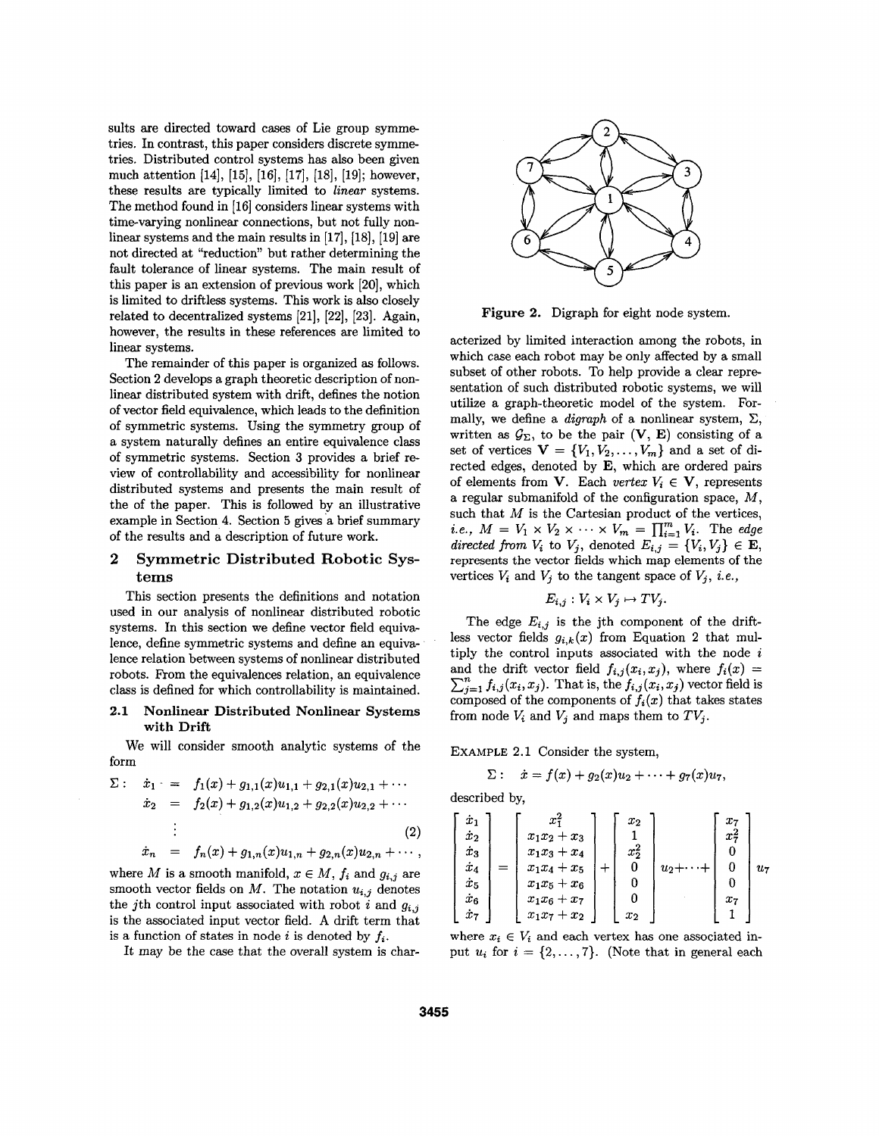<span id="page-1-0"></span>suits are directed toward cases of Lie group symmetries. In contrast, this paper considers discrete symmetries. Distributed control systems has also been given much attention **[14], [15], [16], [17], (181, [19];** however, these results are typically limited to linear systems. The method found in **[16]** considers linear systems with time-varying nonlinear connections, but not fully nonlinear systems and the main results in **[17], [18], [19]** are not directed at "reduction" but rather determining the fault tolerance of linear systems. The main result of this paper is an extension of previous work **[20],** which is limited to driftless systems. This work is also closely related to decentralized systems **[21], [22], [23].** Again, however, the results in these references are limited to linear systems.

The remainder of this paper is organized **as** follows. Section **2** develops a graph theoretic description of nonlinear distributed system with drift, defines the notion of vector field equivalence, which leads to the definition of symmetric systems. Using the symmetry group of a system naturally defines an entire equivalence class of symmetric systems. Section **3** provides a brief **re**view of controllability and accessibility for nonlinear distributed systems and presents the main result of the of the paper. This is followed by an illustrative example in Section **4.** Section **5** gives **'a** brief summary of the results and a description of future work.

# **2 Symmetric Distributed Robotic Syst ems**

This section presents the definitions and notation used in our analysis of nonlinear distributed robotic systems. In this section we define vector field equivalence, define symmetric systems and define an equivalence relation between systems of nonlinear distributed robots. From the equivalences relation, an equivalence class is defined for which controllability is maintained.

#### **2.1** Nonlinear Distributed Nonlinear Systems with Drift

We will consider smooth analytic systems of the form

$$
\Sigma: \n\dot{x}_1 = f_1(x) + g_{1,1}(x)u_{1,1} + g_{2,1}(x)u_{2,1} + \cdots
$$
\n
$$
\dot{x}_2 = f_2(x) + g_{1,2}(x)u_{1,2} + g_{2,2}(x)u_{2,2} + \cdots
$$
\n
$$
\vdots
$$
\n
$$
\dot{x}_n = f_n(x) + g_{1,n}(x)u_{1,n} + g_{2,n}(x)u_{2,n} + \cdots,
$$
\n(2)

where *M* is a smooth manifold,  $x \in M$ ,  $f_i$  and  $g_{i,j}$  are smooth vector fields on  $M$ . The notation  $u_{i,j}$  denotes the *j*th control input associated with robot *i* and  $g_{i,j}$ is the associated input vector field. A drift term that is a function of states in node *i* is denoted by  $f_i$ .

It may be the case that the overall system is char-



Figure **2.** Digraph for eight node system.

acterized by limited interaction among the robots, in which case each robot may be only affected by a small subset of other robots. To help provide a clear representation of such distributed robotic systems, we will utilize a graph-theoretic model of the system. Formally, we define a *digraph* of a nonlinear system,  $\Sigma$ , written as  $\mathcal{G}_{\Sigma}$ , to be the pair  $(\mathbf{V}, \mathbf{E})$  consisting of a set of vertices  $V = \{V_1, V_2, \ldots, V_m\}$  and a set of directed edges, denoted by **E,** which are ordered pairs of elements from V. Each vertex  $V_i \in V$ , represents a regular submanifold of the configuration space, *M,*  such that *M* is the Cartesian product of the vertices, *i.e.*,  $M = V_1 \times V_2 \times \cdots \times V_m = \prod_{i=1}^m V_i$ . The edge directed from  $V_i$  to  $V_j$ , denoted  $E_{i,j} = \{V_i, V_j\} \in \mathbf{E}$ , represents the vector fields which map elements of the vertices  $V_i$  and  $V_j$  to the tangent space of  $V_j$ , *i.e.*,

$$
E_{i,j}: V_i \times V_j \mapsto TV_j.
$$

The edge  $E_{i,j}$  is the jth component of the driftless vector fields  $g_{i,k}(x)$  from Equation 2 that multiply the control inputs associated with the node *<sup>i</sup>* and the drift vector field  $f_{i,j}(x_i,x_j)$ , where  $f_i(x)$  =  $\sum_{j=1}^{n} f_{i,j}(x_i, x_j)$ . That is, the  $f_{i,j}(x_i, x_j)$  vector field is composed of the components of  $f_i(x)$  that takes states from node  $V_i$  and  $V_j$  and maps them to  $TV_j$ .

EXAMPLE **2.1** Consider the system,

$$
\Sigma: \quad \dot{x}=f(x)+g_2(x)u_2+\cdots+g_7(x)u_7,
$$

described by,

$$
\begin{bmatrix} \dot{x}_1 \\ \dot{x}_2 \\ \dot{x}_3 \\ \dot{x}_4 \\ \dot{x}_5 \\ \dot{x}_6 \\ \dot{x}_7 \end{bmatrix} = \begin{bmatrix} x_1^2 \\ x_1x_2 + x_3 \\ x_1x_3 + x_4 \\ x_1x_3 + x_4 \\ x_1x_4 + x_5 \\ x_1x_5 + x_6 \\ x_1x_6 + x_7 \\ x_1x_7 + x_2 \end{bmatrix} + \begin{bmatrix} x_2 \\ 1 \\ x_2^2 \\ 0 \\ 0 \\ 0 \\ x_2 \end{bmatrix} u_2 + \dots + \begin{bmatrix} x_7 \\ x_7^2 \\ 0 \\ 0 \\ 0 \\ x_7 \\ 1 \end{bmatrix} u_7
$$

where  $x_i \in V_i$  and each vertex has one associated input  $u_i$  for  $i = \{2, \ldots, 7\}$ . (Note that in general each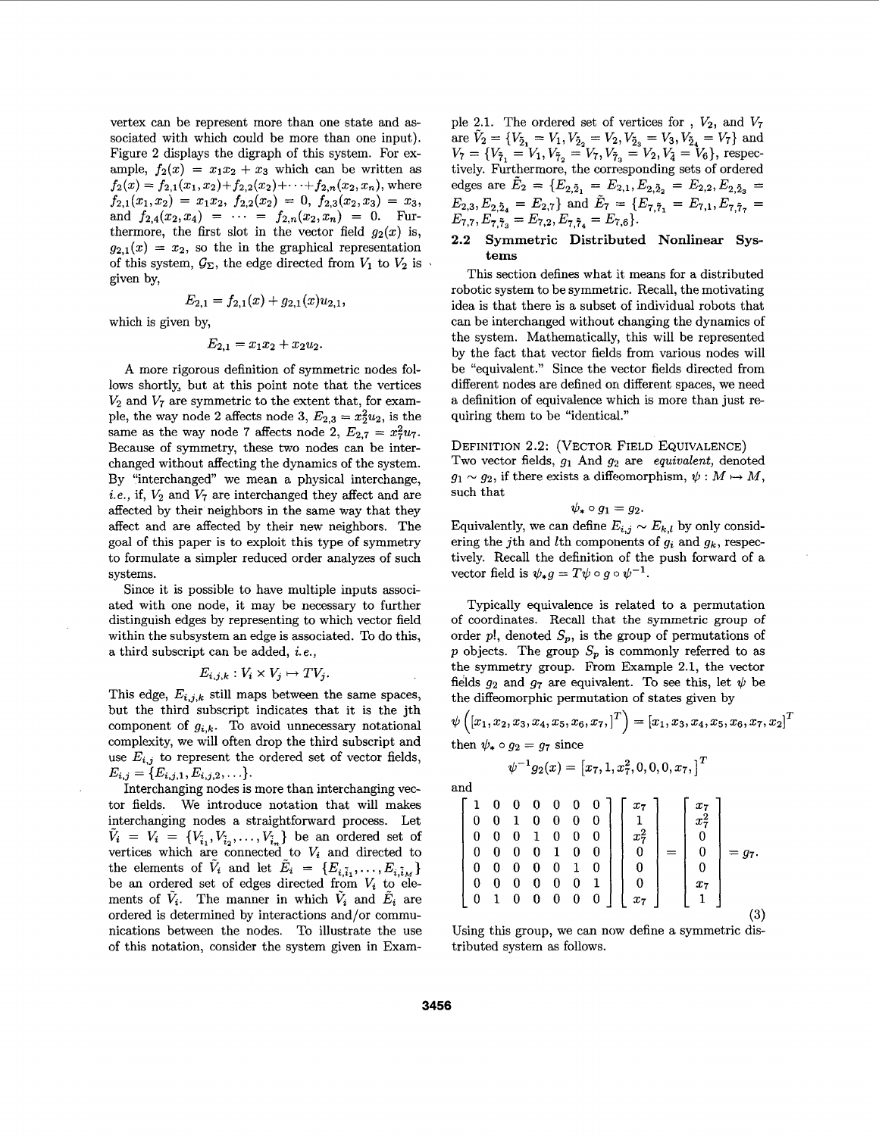vertex can be represent more than one state and **as**sociated with which could be more than one input). [Figure](#page-1-0) 2 displays the digraph of this system. For example,  $f_2(x) = x_1x_2 + x_3$  which can be written as  $f_2(x) = f_{2,1}(x_1,x_2) + f_{2,2}(x_2) + \cdots + f_{2,n}(x_2,x_n)$ , where  $f_{2,1}(x_1,x_2) = x_1x_2, f_{2,2}(x_2) = 0, f_{2,3}(x_2,x_3) = x_3,$ and  $f_{2,4}(x_2,x_4) = \cdots = f_{2,n}(x_2,x_n) = 0$ . Furthermore, the first slot in the vector field  $g_2(x)$  is,  $g_{2,1}(x) = x_2$ , so the in the graphical representation of this system,  $\mathcal{G}_{\Sigma}$ , the edge directed from  $V_1$  to  $V_2$  is given by,

$$
E_{2,1}=f_{2,1}(x)+g_{2,1}(x)u_{2,1},
$$

which is given by,

$$
E_{2,1}=x_1x_2+x_2u_2.
$$

A more rigorous definition of symmetric nodes follows shortly, but at this point note that the vertices  $V_2$  and  $V_7$  are symmetric to the extent that, for example, the way node 2 affects node 3,  $E_{2,3} = x_2^2 u_2$ , is the same as the way node 7 affects node 2,  $E_{2,7} = x_7^2 u_7$ . Because of symmetry, these two nodes can be interchanged without affecting the dynamics of the system. By "interchanged" we mean a physical interchange,  $i.e.,$  if,  $V_2$  and  $V_7$  are interchanged they affect and are affected by their neighbors in the same way that they affect and axe affected by their new neighbors. The goal of this paper is to exploit this type of symmetry to formulate a simpler reduced order analyzes of such systems.

Since it is possible to have multiple inputs associated with one node, it may be necessary to further distinguish edges by representing to which vector field within the subsystem an edge is associated. To do this, a third subscript can be added, *i.e.,* 

$$
E_{i,j,k}: V_i \times V_j \mapsto TV_j.
$$

This edge,  $E_{i,j,k}$  still maps between the same spaces, but the third subscript indicates that it is the jth component of  $g_{i,k}$ . To avoid unnecessary notational complexity, we will often drop the third subscript and use  $E_{i,j}$  to represent the ordered set of vector fields,  $E_{i,j} = \{E_{i,j,1}, E_{i,j,2}, \ldots\}.$ 

Interchanging nodes is more than interchanging vector fields. We introduce notation that will makes interchanging nodes a straightforward process. Let  $\tilde{V}_i = V_i = \{V_{\tilde{i}_1}, V_{\tilde{i}_2}, \ldots, V_{\tilde{i}_n}\}\$  be an ordered set of vertices which are connected to  $V_i$  and directed to the elements of  $\tilde{V}_i$  and let  $\tilde{E}_i = \{E_{i,i_1}, \ldots, E_{i,i_M}\}\$ be an ordered set of edges directed from  $V_i$  to elements of  $\tilde{V}_i$ . The manner in which  $\tilde{V}_i$  and  $\tilde{E}_i$  are ordered is determined by interactions and/or communications between the nodes. To illustrate the use of this notation, consider the system given in Example 2.1. The ordered set of vertices for , *V2,* and *V7*  are  $\tilde{V}_2 = \{V_{\tilde{2}_1} = V_1, V_{\tilde{2}_2} = V_2, V_{\tilde{2}_3} = V_3, V_{\tilde{2}_4} = V_7\}$  and  $V_7 = \{V_{\tilde{7}_1} = V_1, V_{\tilde{7}_2} = V_7, V_{\tilde{7}_3} = V_2, V_4 = V_6\},$  respectively. Furthermore, the corresponding sets of ordered edges are  $E_2 = \{E_{2,2_1} = E_{2,1}, E_{2,2_2} = E_{2,2}, E_{2,2_3} =$  $E_{7,7}, E_{7,\tilde{7}_3} = E_{7,2}, E_{7,\tilde{7}_4} = E_{7,6}$ .  $E_{2,3}, E_{2,\tilde{2}_4} = E_{2,7}$ } and  $\tilde{E}_7 = \{E_{7,\tilde{7}_1} = E_{7,1}, E_{7,\tilde{7}_7} = E_{7,1}$ 

# *2.2* **Symmetric Distributed Nonlinear Systems**

This section defines what it means for a distributed robotic system to be symmetric. Recall, the motivating idea is that there is a subset of individual robots that can be interchanged without changing the dynamics **of**  the system. Mathematically, this will be represented by the fact that vector fields from various nodes will be "equivalent." Since the vector fields directed from different nodes are defined on different spaces, we need a definition of equivalence which is more than just requiring them to be "identical."

**DEFINITION** 2.2: **(VECTOR FIELD EQUIVALENCE)**  Two vector fields,  $g_1$  And  $g_2$  are *equivalent*, denoted  $g_1 \sim g_2$ , if there exists a diffeomorphism,  $\psi : M \mapsto M$ , such that

$$
\psi_*\circ g_1=g_2.
$$

Equivalently, we can define  $E_{i,j} \sim E_{k,l}$  by only considering the jth and lth components of *gi* and *gk,* respectively. Recall the definition of the push forward of a vector field is  $\psi_* q = T \psi \circ q \circ \psi^{-1}$ .

Typically equivalence is related to a permutation of coordinates. Recall that the symmetric group of order  $p!$ , denoted  $S_p$ , is the group of permutations of  $p$  objects. The group  $S_p$  is commonly referred to as the symmetry group. From Example 2.1, the vector fields  $g_2$  and  $g_7$  are equivalent. To see this, let  $\psi$  be the diffeomorphic permutation of states given by

$$
\psi\left([x_1, x_2, x_3, x_4, x_5, x_6, x_7, ]^T\right) = [x_1, x_3, x_4, x_5, x_6, x_7, x_2]^T
$$

then  $\psi_* \circ g_2 = g_7$  since

$$
\psi^{-1}g_2(x)=\left[x_7,1,x_7^2,0,0,0,x_7,\right]^T
$$

$$
\begin{bmatrix} 1 & 0 & 0 & 0 & 0 & 0 & 0 \\ 0 & 0 & 1 & 0 & 0 & 0 & 0 \\ 0 & 0 & 0 & 1 & 0 & 0 & 0 \\ 0 & 0 & 0 & 0 & 1 & 0 & 0 \\ 0 & 0 & 0 & 0 & 0 & 1 & 0 \\ 0 & 0 & 0 & 0 & 0 & 0 & 1 \\ 0 & 1 & 0 & 0 & 0 & 0 & 0 \end{bmatrix} \begin{bmatrix} x_7 \\ 1 \\ x_7^2 \\ 0 \\ 0 \\ 0 \\ x_7 \end{bmatrix} = \begin{bmatrix} x_7 \\ x_7^2 \\ 0 \\ 0 \\ 0 \\ x_7 \\ 1 \end{bmatrix} = g_7.
$$

Using this group, we can now define a symmetric distributed system as follows.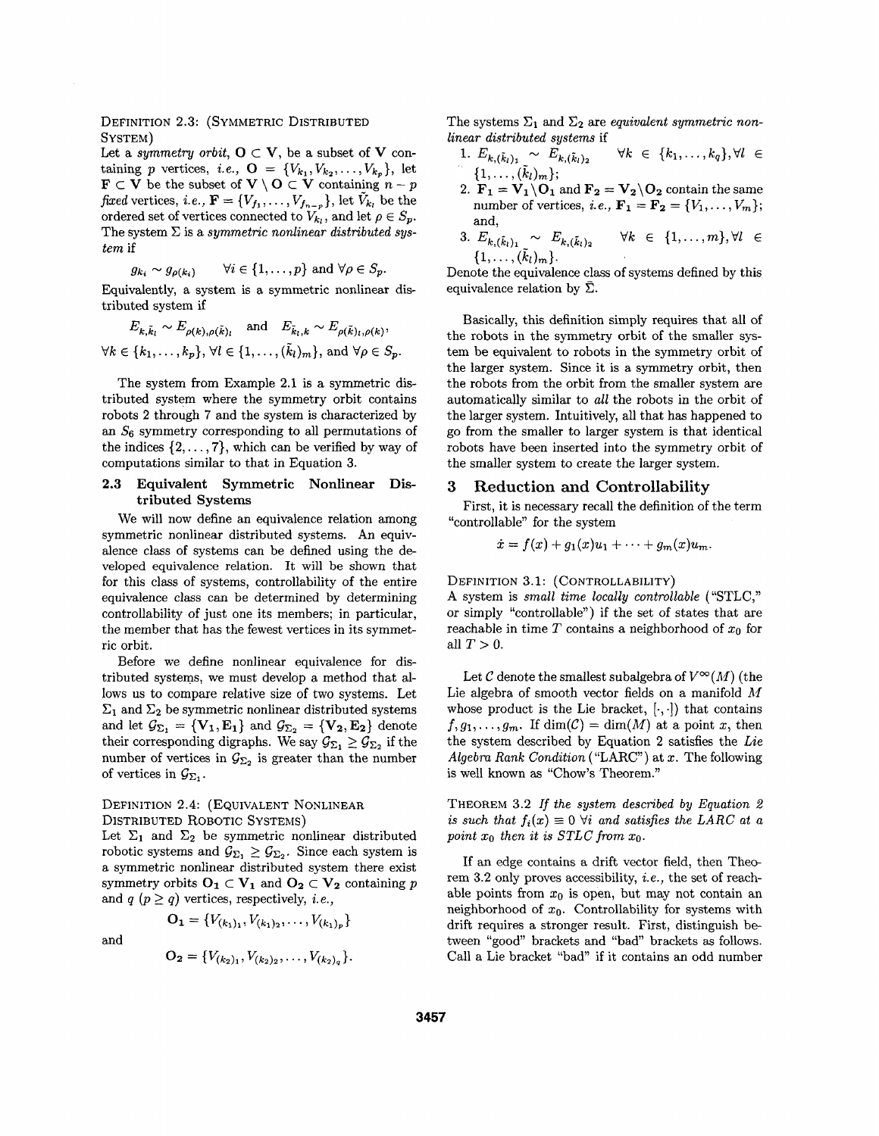## DEFINITION **2.3:** (SYMMETRIC DISTRIBUTED SYSTEM)

Let a *symmetry orbit,*  $O \subset V$ , be a subset of V containing *p* vertices, *i.e.*,  $O = \{V_{k_1}, V_{k_2}, \ldots, V_{k_n}\}\$ , let  $\mathbf{F} \subset \mathbf{V}$  be the subset of  $\mathbf{V} \setminus \mathbf{O} \subset \mathbf{V}$  containing  $n - p$ *fixed* vertices, *i.e.*,  $\mathbf{F} = \{V_{f_1}, \ldots, V_{f_{n-p}}\}$ , let  $\tilde{V}_{k_l}$  be the ordered set of vertices connected to  $V_{k_l}$ , and let  $\rho \in S_l$ The system  $\Sigma$  is a *symmetric nonlinear distributed system* if

$$
g_{k_i} \sim g_{\rho(k_i)} \qquad \forall i \in \{1, \ldots, p\} \text{ and } \forall \rho \in S_p.
$$

Equivalently, a system is a symmetric nonlinear distributed system if

$$
E_{k,\tilde{k}_l} \sim E_{\rho(k),\rho(\tilde{k})_l} \quad \text{and} \quad E_{\tilde{k}_l,k} \sim E_{\rho(\tilde{k})_l,\rho(k)},
$$
  

$$
\forall k \in \{k_1,\ldots,k_p\}, \forall l \in \{1,\ldots,(\tilde{k}_l)_m\}, \text{ and } \forall \rho \in S_p.
$$

The system from Example 2.1 is a symmetric distributed system where the symmetry orbit contains robots 2 through 7 and the system is characterized by an  $S_6$  symmetry corresponding to all permutations of the indices  $\{2, \ldots, 7\}$ , which can be verified by way of computations similar to that in Equation **3.** 

## **2.3 Equivalent Symmetric Nonlinear Distributed Systems**

We will now define an equivalence relation among symmetric nonlinear distributed systems. An equivalence class of systems can be defined using the developed equivalence relation. It will be shown that for this class of systems, controllability of the entire equivalence class can be determined by determining controllability of just one its members; in particular, the member that has the fewest vertices in its symmetric orbit.

Before we define nonlinear equivalence for distributed systems, we must develop a method that allows us to compare relative size of two systems. Let  $\Sigma_1$  and  $\Sigma_2$  be symmetric nonlinear distributed systems and let  $\mathcal{G}_{\Sigma_1} = {\mathbf{V}_1, \mathbf{E}_1}$  and  $\mathcal{G}_{\Sigma_2} = {\mathbf{V}_2, \mathbf{E}_2}$  denote their corresponding digraphs. We say  $\mathcal{G}_{\Sigma_1} \geq \mathcal{G}_{\Sigma_2}$  if the number of vertices in  $\mathcal{G}_{\Sigma_2}$  is greater than the number of vertices in  $\mathcal{G}_{\Sigma_1}$ .

# DEFINITION 2.4: (EQUIVALENT NONLINEAR DISTRIBUTED ROBOTIC SYSTEMS)

Let  $\Sigma_1$  and  $\Sigma_2$  be symmetric nonlinear distributed robotic systems and  $\mathcal{G}_{\Sigma_1} \geq \mathcal{G}_{\Sigma_2}$ . Since each system is a symmetric nonlinear distributed system there exist symmetry orbits  $O_1 \subset V_1$  and  $O_2 \subset V_2$  containing *p* and  $q$   $(p \geq q)$  vertices, respectively, *i.e.*,

and

$$
\mathbf{O_2} = \{V_{(k_2)_1}, V_{(k_2)_2}, \ldots, V_{(k_2)_q}\}.
$$

 $\mathbf{O}_1 = \{V_{(k_1)_1}, V_{(k_1)_2}, \ldots, V_{(k_1)_p}\}\$ 

The systems  $\Sigma_1$  and  $\Sigma_2$  are *equivalent symmetric nonlinear distributed systems* if

- 1.  $E_{k,(\tilde{k}_l)_1} \sim E_{k,(\tilde{k}_l)_2} \qquad \forall k \in \{k_1,\ldots,k_q\}, \forall l \in$  $\{1, \ldots, (\tilde{k}_l)_m\};$
- 2.  $\mathbf{F}_1 = \mathbf{V}_1 \setminus \mathbf{O}_1$  and  $\mathbf{F}_2 = \mathbf{V}_2 \setminus \mathbf{O}_2$  contain the same number of vertices, *i.e.*,  $F_1 = F_2 = \{V_1, ..., V_m\};$ and,
- **3.**  $E_{k,(\tilde{k}_l)_1} \sim E_{k,(\tilde{k}_l)_2} \quad \forall k \in \{1,\ldots,m\}, \forall l \in$  $\{1, \ldots, (\bar{k}_l)_m\}.$

Denote the equivalence class of systems defined by this equivalence relation by  $\bar{\Sigma}$ .

Basically, this definition simply requires that all of the robots in the symmetry orbit of the smaller system be equivalent to robots in the symmetry orbit of the larger system. Since it is a symmetry orbit, then the robots from the orbit from the smaller system are automatically similar to *all* the robots in the orbit of the larger system. Intuitively, all that has happened to go from the smaller to larger system is that identical robots have been inserted into the symmetry orbit of the smaller system to create the larger system.

### **3 Reduction and Controllability**

"controllable" for the system First, it is necessary recall the definition of the term

$$
\dot{x}=f(x)+g_1(x)u_1+\cdots+g_m(x)u_m.
$$

DEFINITION **3.1:** (CONTROLLABILITY)

A system is *small time locally controllable* ("STLC," or simply "controllable") if the set of states that are reachable in time  $T$  contains a neighborhood of  $x_0$  for all  $T > 0$ .

Let *C* denote the smallest subalgebra of  $V^{\infty}(M)$  (the Lie algebra of smooth vector fields on a manifold *A4*  whose product is the Lie bracket,  $[\cdot, \cdot]$  that contains  $f, g_1, \ldots, g_m$ . If  $\dim(\mathcal{C}) = \dim(M)$  at a point x, then the system described by Equation 2 satisfies the *Lie Algebra Rank Condition* ("LARC") at *x.* The following is well known as "Chow's Theorem."

THEOREM **3.2** If *the system described by Equation 2 is such that*  $f_i(x) \equiv 0 \ \forall i$  *and satisfies the LARC at a point*  $x_0$  *then it is STLC from*  $x_0$ *.* 

If an edge contains a drift vector field, then Theorem *3.2* only proves accessibility, *i.e.,* the set of reachable points from  $x_0$  is open, but may not contain an neighborhood of  $x_0$ . Controllability for systems with drift requires a stronger result. First, distinguish between "good" brackets and "bad" brackets **as** follows. Call a Lie bracket "bad" if it contains an odd number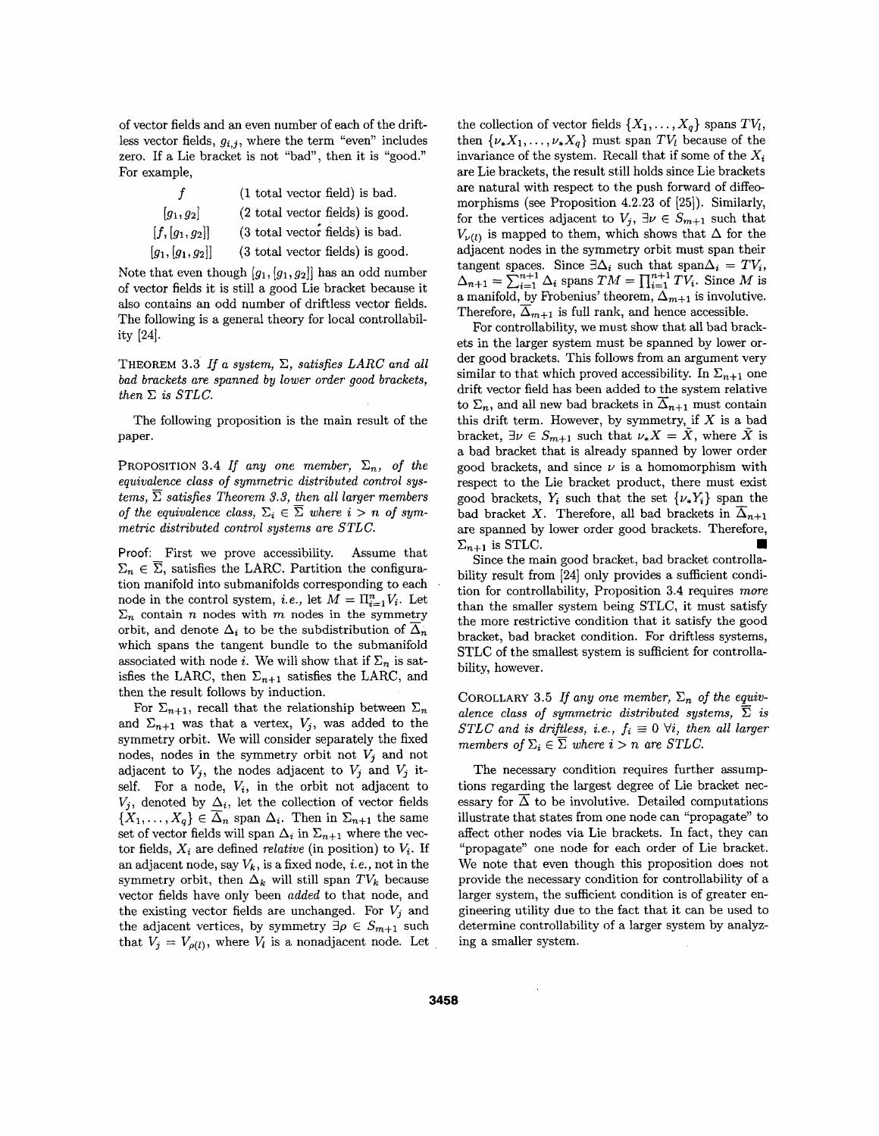of vector fields and an even number of each of the driftless vector fields,  $g_{i,j}$ , where the term "even" includes zero. If a Lie bracket is not "bad", then it is "good." For example,

| f                 | (1 total vector field) is bad.    |
|-------------------|-----------------------------------|
| $[g_1,g_2]$       | (2 total vector fields) is good.  |
| $[f,[g_1,g_2]]$   | $(3$ total vector fields) is bad. |
| $[g_1,[g_1,g_2]]$ | (3 total vector fields) is good.  |

Note that even though  $[g_1, [g_1, g_2]]$  has an odd number of vector fields it is still a good Lie bracket because it also contains an odd number of driftless vector fields. The following is a general theory for local controllability **[24].** 

THEOREM *3.3 If a system,* E, *satisfies LARC and all bad brackets are spanned by lower order good brackets, then*  $\Sigma$  *is STLC.* 

The following proposition is the main result of the paper.

PROPOSITION 3.4 *If any one member,*  $\Sigma_n$ , *of the equivalence class of symmetric distributed control systems,*  $\overline{\Sigma}$  *satisfies Theorem 3.3, then all larger members of the equivalence class,*  $\Sigma_i \in \overline{\Sigma}$  *where i > n of symmetric distributed control systems are STLC.* 

Proof: First we prove accessibility. Assume that  $\Sigma_n \in \overline{\Sigma}$ , satisfies the LARC. Partition the configuration manifold into submanifolds corresponding to each node in the control system, *i.e.*, let  $M = \prod_{i=1}^{n} V_i$ . Let  $\Sigma_n$  contain *n* nodes with *m* nodes in the symmetry orbit, and denote  $\Delta_i$  to be the subdistribution of  $\Delta_n$ which spans the tangent bundle to the submanifold associated with node *i*. We will show that if  $\Sigma_n$  is satisfies the LARC, then  $\Sigma_{n+1}$  satisfies the LARC, and then the result follows by induction.

For  $\Sigma_{n+1}$ , recall that the relationship between  $\Sigma_n$ and  $\Sigma_{n+1}$  was that a vertex,  $V_j$ , was added to the symmetry orbit. We will consider separately the fixed nodes, nodes in the symmetry orbit not  $V_j$  and not adjacent to  $V_j$ , the nodes adjacent to  $V_j$  and  $V_j$  itself. For a node,  $V_i$ , in the orbit not adjacent to  $V_j$ , denoted by  $\Delta_i$ , let the collection of vector fields  $\{X_1, \ldots, X_q\} \in \overline{\Delta}_n$  span  $\Delta_i$ . Then in  $\Sigma_{n+1}$  the same set of vector fields will span  $\Delta_i$  in  $\Sigma_{n+1}$  where the vector fields,  $X_i$  are defined *relative* (in position) to  $V_i$ . If an adjacent node, say *Vk,* is a fixed node, *i.e.,* not in the symmetry orbit, then  $\Delta_k$  will still span  $TV_k$  because vector fields have only been *added* to that node, and the existing vector fields are unchanged. For  $V_j$  and the adjacent vertices, by symmetry  $\exists \rho \in S_{m+1}$  such that  $V_j = V_{\rho(l)}$ , where  $V_l$  is a nonadjacent node. Let

the collection of vector fields  $\{X_1, \ldots, X_q\}$  spans  $TV_l$ , then  $\{\nu_* X_1, \ldots, \nu_* X_n\}$  must span  $TV_l$  because of the invariance of the system. Recall that if some of the  $X_i$ are Lie brackets, the result still holds since Lie brackets are natural with respect to the push forward of diffeomorphisms *(see* Proposition **4.2.23** of [25]). Similarly, for the vertices adjacent to  $V_j$ ,  $\exists \nu \in S_{m+1}$  such that  $V_{\nu(l)}$  is mapped to them, which shows that  $\Delta$  for the adjacent nodes in the symmetry orbit must span their tangent spaces. Since  $\exists \Delta_i$  such that span $\Delta_i = TV_i$ ,  $\Delta_{n+1} = \sum_{i=1}^{n+1} \Delta_i$  spans  $TM = \prod_{i=1}^{n+1} TV_i$ . Since *M* is a manifold, by Frobenius' theorem,  $\Delta_{m+1}$  is involutive. Therefore,  $\overline{\Delta}_{m+1}$  is full rank, and hence accessible.

For controllability, we must show that all bad brackets in the larger system must be spanned by lower order good brackets. This follows from an argument very similar to that which proved accessibility. In  $\Sigma_{n+1}$  one drift vector field has been added to the system relative to  $\Sigma_n$ , and all new bad brackets in  $\overline{\Delta}_{n+1}$  must contain this drift term. However, by symmetry, if  $X$  is a bad bracket,  $\exists \nu \in S_{m+1}$  such that  $\nu_*X = \tilde{X}$ , where  $\tilde{X}$  is a bad bracket that is already spanned by lower order good brackets, and since  $\nu$  is a homomorphism with respect to the Lie bracket product, there must exist good brackets,  $Y_i$  such that the set  $\{\nu_* Y_i\}$  span the bad bracket *X*. Therefore, all bad brackets in  $\overline{\Delta}_{n+1}$ are spanned by lower order good brackets. Therefore,  $\Sigma_{n+1}$  is STLC.

Since the main good bracket, bad bracket controllability result from [24] only provides a sufficient condition for controllability, Proposition **3.4** requires *more*  than the smaller system being STLC, it must satisfy the more restrictive condition that it satisfy the good bracket, bad bracket condition. For driftless systems, STLC of the smallest system is sufficient for controllability, however.

COROLLARY 3.5 If any one member,  $\Sigma_n$  of the equiv*alence class of symmetric distributed systems,*  $\overline{\Sigma}$  *is STLC and is driftless, i.e.,*  $f_i \equiv 0 \ \forall i$ *, then all larger members of*  $\Sigma_i \in \overline{\Sigma}$  *where i > n are STLC.* 

The necessary condition requires further assump tions regarding the largest degree of Lie bracket necessary for  $\overline{\Delta}$  to be involutive. Detailed computations illustrate that states from one node can "propagate" to affect other nodes via Lie brackets. In fact, they can "propagate" one node for each order of Lie bracket. We note that even though this proposition does not provide the necessary condition for controllability of a larger system, the sufficient condition is of greater engineering utility due to the fact that it can be used to determine controllability of a larger system by analyzing a smaller system.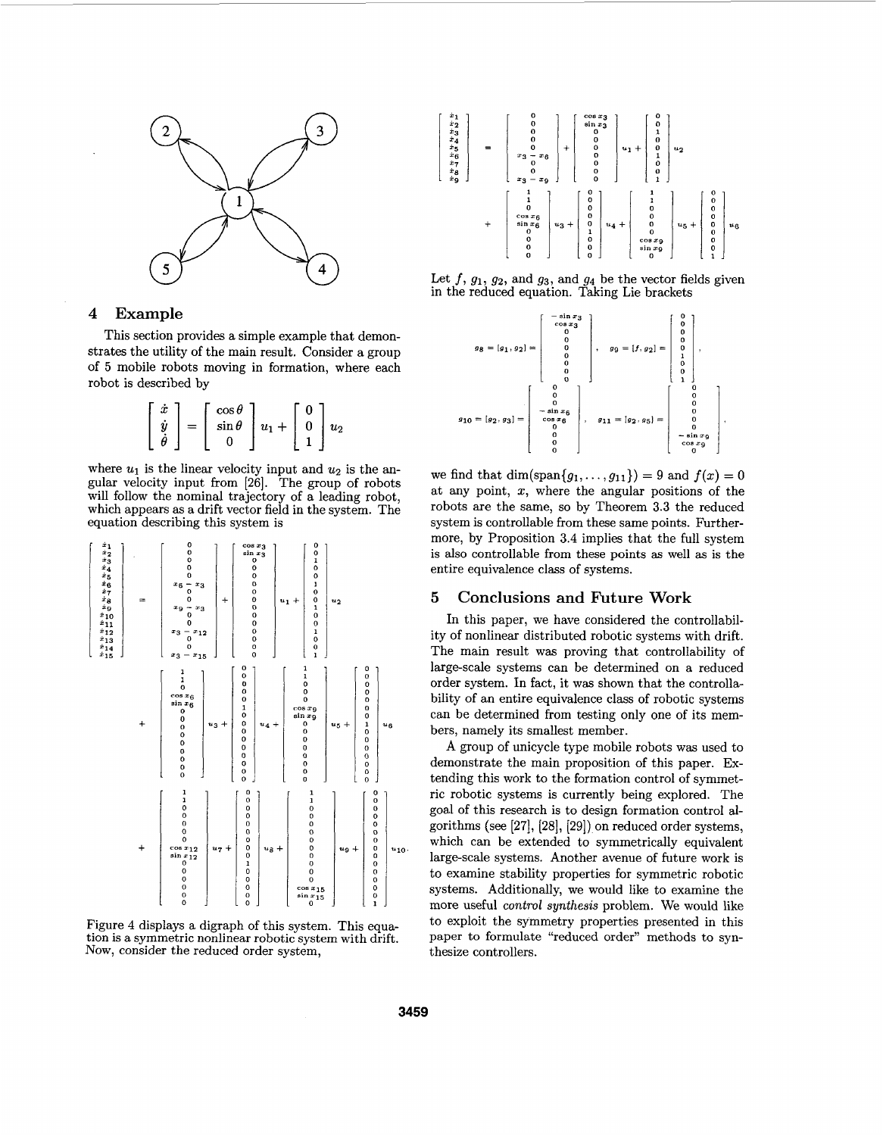

# **4** Example

This section provides a simple example that demonstrates the utility of the main result. Consider a group of **5** mobile robots moving in formation, where each robot is described by

$$
\left[\begin{array}{c} \dot{x} \\ \dot{y} \\ \dot{\theta} \end{array}\right] = \left[\begin{array}{c} \cos \theta \\ \sin \theta \\ 0 \end{array}\right] u_1 + \left[\begin{array}{c} 0 \\ 0 \\ 1 \end{array}\right] u_2
$$

where  $u_1$  is the linear velocity input and  $u_2$  is the angular velocity input from [26]. The group of robots will follow the nominal trajectory of a leading robot, which appears as a drift vector field in the system. The equation describing this system is



Figure **4** displays a digraph of this system. This equation is a symmetric nonlinear robotic system with drift. Now, consider the reduced order system,



Let  $f, g_1, g_2$ , and  $g_3$ , and  $g_4$  be the vector fields given in the reduced equation. Taking Lie brackets



we find that  $dim(span{g_1,...,g_{11}}) = 9$  and  $f(x) = 0$ at any point, *x,* where the angular positions of the robots are the same, so by Theorem **3.3** the reduced system is controllable from these same points. Furthermore, by Proposition **3.4** implies that the full system is also controllable from these points **as** well **as** is the entire equivalence class of systems.

#### *5* Conclusions and Future Work

In this paper, we have considered the controllability of nonlinear distributed robotic systems with drift. The main result was proving that controllability of large-scale systems can be determined on a reduced order system. In fact, it was shown that the controllability of an entire equivalence class of robotic systems can be determined from testing only one of its members, namely its smallest member.

A group of unicycle type mobile robots was used to demonstrate the main proposition of this paper. **Ex**tending this work to the formation control of symmetric robotic systems is currently being explored. The goal of this research is to design formation control **al**gorithms *(see* **[27], [28],** [29]) on reduced order systems, which can be extended to symmetrically equivalent large-scale systems. Another avenue of future work is to examine stability properties for symmetric robotic systems. Additionally, we would like to examine the more useful control synthesis problem. We would like to exploit the symmetry properties presented in this paper to formulate "reduced order" methods to synthesize controllers.